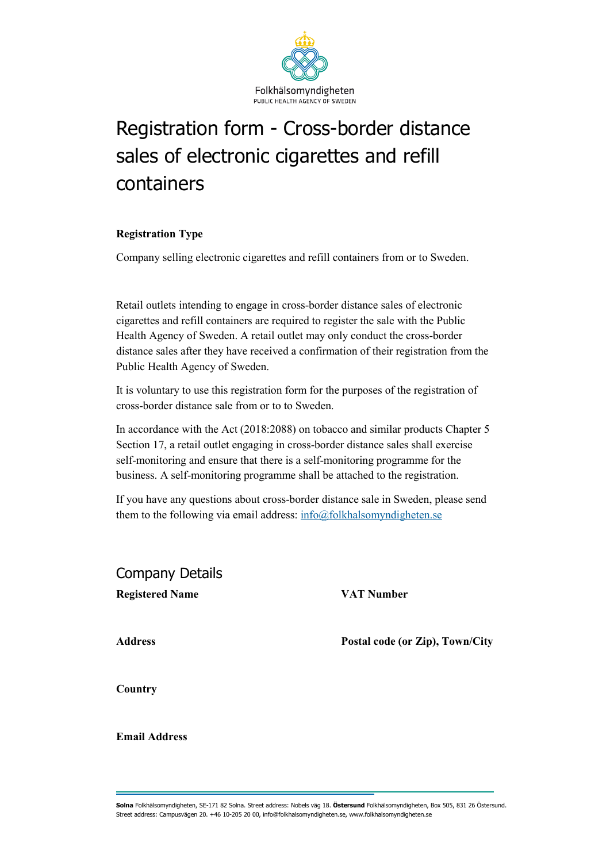

# Registration form - Cross-border distance sales of electronic cigarettes and refill containers

#### **Registration Type**

Company selling electronic cigarettes and refill containers from or to Sweden.

Retail outlets intending to engage in cross-border distance sales of electronic cigarettes and refill containers are required to register the sale with the Public Health Agency of Sweden. A retail outlet may only conduct the cross-border distance sales after they have received a confirmation of their registration from the Public Health Agency of Sweden.

It is voluntary to use this registration form for the purposes of the registration of cross-border distance sale from or to to Sweden.

In accordance with the Act (2018:2088) on tobacco and similar products Chapter 5 Section 17, a retail outlet engaging in cross-border distance sales shall exercise self-monitoring and ensure that there is a self-monitoring programme for the business. A self-monitoring programme shall be attached to the registration.

If you have any questions about cross-border distance sale in Sweden, please send them to the following via email address: [info@folkhalsomyndigheten.se](mailto:info@folkhalsomyndigheten.se)

Company Details **Registered Name VAT Number**

**Address Postal code (or Zip), Town/City**

**Country**

**Email Address**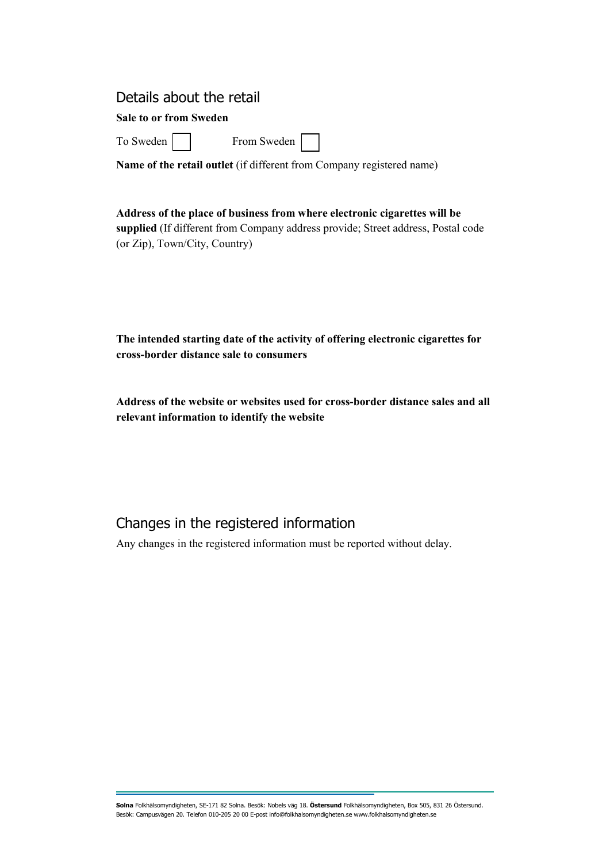#### Details about the retail

#### **Sale to or from Sweden**

To Sweden From Sweden

**Name of the retail outlet** (if different from Company registered name)

#### **Address of the place of business from where electronic cigarettes will be**

**supplied** (If different from Company address provide; Street address, Postal code (or Zip), Town/City, Country)

**The intended starting date of the activity of offering electronic cigarettes for cross-border distance sale to consumers**

**Address of the website or websites used for cross-border distance sales and all relevant information to identify the website**

## Changes in the registered information

Any changes in the registered information must be reported without delay.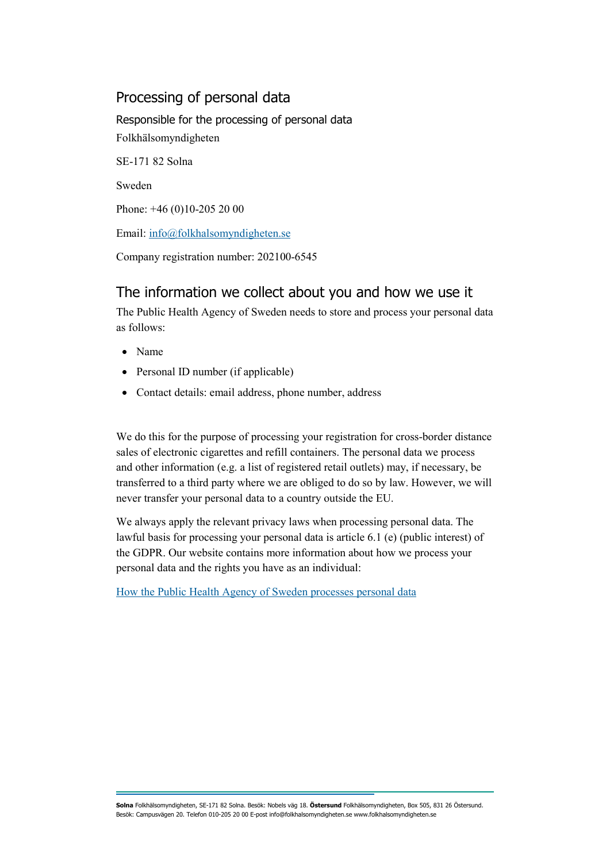## Processing of personal data

Responsible for the processing of personal data Folkhälsomyndigheten SE-171 82 Solna Sweden Phone: +46 (0)10-205 20 00 Email: [info@folkhalsomyndigheten.se](mailto:info@folkhalsomyndigheten.se)

Company registration number: 202100-6545

# The information we collect about you and how we use it

The Public Health Agency of Sweden needs to store and process your personal data as follows:

- Name
- Personal ID number (if applicable)
- Contact details: email address, phone number, address

We do this for the purpose of processing your registration for cross-border distance sales of electronic cigarettes and refill containers. The personal data we process and other information (e.g. a list of registered retail outlets) may, if necessary, be transferred to a third party where we are obliged to do so by law. However, we will never transfer your personal data to a country outside the EU.

We always apply the relevant privacy laws when processing personal data. The lawful basis for processing your personal data is article 6.1 (e) (public interest) of the GDPR. Our website contains more information about how we process your personal data and the rights you have as an individual:

[How the Public Health Agency of Sweden processes personal data](https://www.folkhalsomyndigheten.se/om-folkhalsomyndigheten/om-webbplatsen/behandling-av-personuppgifter/)